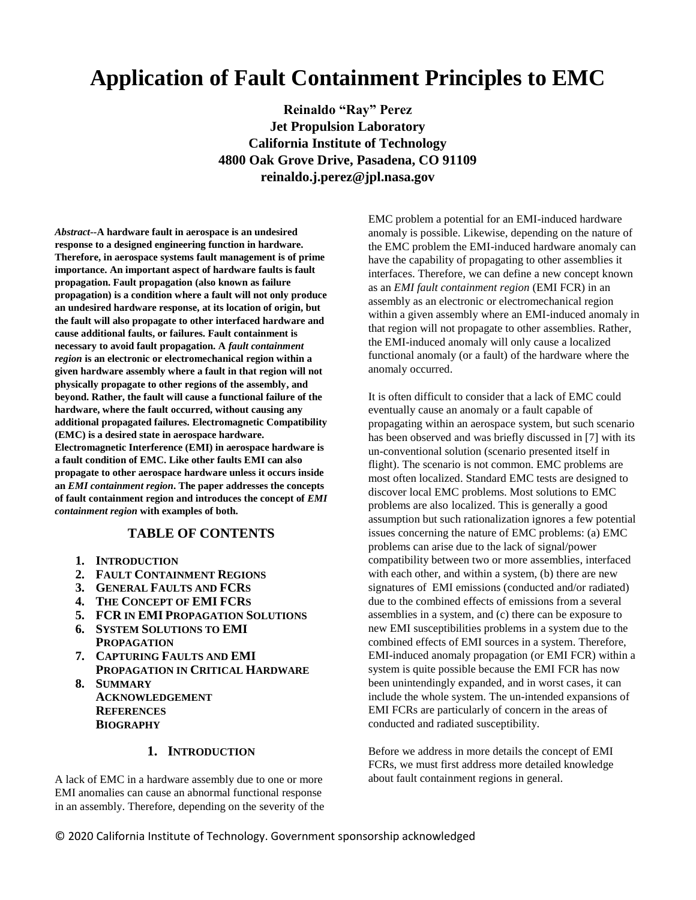# **Application of Fault Containment Principles to EMC**

**Reinaldo "Ray" Perez Jet Propulsion Laboratory California Institute of Technology 4800 Oak Grove Drive, Pasadena, CO 91109 reinaldo.j.perez@jpl.nasa.gov**

*Abstract--***A hardware fault in aerospace is an undesired response to a designed engineering function in hardware. Therefore, in aerospace systems fault management is of prime importance. An important aspect of hardware faults is fault propagation. Fault propagation (also known as failure propagation) is a condition where a fault will not only produce an undesired hardware response, at its location of origin, but the fault will also propagate to other interfaced hardware and cause additional faults, or failures. Fault containment is necessary to avoid fault propagation. A** *fault containment region* **is an electronic or electromechanical region within a given hardware assembly where a fault in that region will not physically propagate to other regions of the assembly, and beyond. Rather, the fault will cause a functional failure of the hardware, where the fault occurred, without causing any additional propagated failures. Electromagnetic Compatibility (EMC) is a desired state in aerospace hardware. Electromagnetic Interference (EMI) in aerospace hardware is a fault condition of EMC. Like other faults EMI can also propagate to other aerospace hardware unless it occurs inside an** *EMI containment region***. The paper addresses the concepts of fault containment region and introduces the concept of** *EMI containment region* **with examples of both.**

# **TABLE OF CONTENTS**

- **1. INTRODUCTION**
- **2. FAULT CONTAINMENT REGIONS**
- **3. GENERAL FAULTS AND FCRS**
- **4. THE CONCEPT OF EMI FCRS**
- **5. FCR IN EMI PROPAGATION SOLUTIONS**
- **6. SYSTEM SOLUTIONS TO EMI PROPAGATION**
- **7. CAPTURING FAULTS AND EMI PROPAGATION IN CRITICAL HARDWARE**
- **8. SUMMARY ACKNOWLEDGEMENT REFERENCES BIOGRAPHY**

# **1. INTRODUCTION**

A lack of EMC in a hardware assembly due to one or more EMI anomalies can cause an abnormal functional response in an assembly. Therefore, depending on the severity of the EMC problem a potential for an EMI-induced hardware anomaly is possible. Likewise, depending on the nature of the EMC problem the EMI-induced hardware anomaly can have the capability of propagating to other assemblies it interfaces. Therefore, we can define a new concept known as an *EMI fault containment region* (EMI FCR) in an assembly as an electronic or electromechanical region within a given assembly where an EMI-induced anomaly in that region will not propagate to other assemblies. Rather, the EMI-induced anomaly will only cause a localized functional anomaly (or a fault) of the hardware where the anomaly occurred.

It is often difficult to consider that a lack of EMC could eventually cause an anomaly or a fault capable of propagating within an aerospace system, but such scenario has been observed and was briefly discussed in [7] with its un-conventional solution (scenario presented itself in flight). The scenario is not common. EMC problems are most often localized. Standard EMC tests are designed to discover local EMC problems. Most solutions to EMC problems are also localized. This is generally a good assumption but such rationalization ignores a few potential issues concerning the nature of EMC problems: (a) EMC problems can arise due to the lack of signal/power compatibility between two or more assemblies, interfaced with each other, and within a system, (b) there are new signatures of EMI emissions (conducted and/or radiated) due to the combined effects of emissions from a several assemblies in a system, and (c) there can be exposure to new EMI susceptibilities problems in a system due to the combined effects of EMI sources in a system. Therefore, EMI-induced anomaly propagation (or EMI FCR) within a system is quite possible because the EMI FCR has now been unintendingly expanded, and in worst cases, it can include the whole system. The un-intended expansions of EMI FCRs are particularly of concern in the areas of conducted and radiated susceptibility.

Before we address in more details the concept of EMI FCRs, we must first address more detailed knowledge about fault containment regions in general.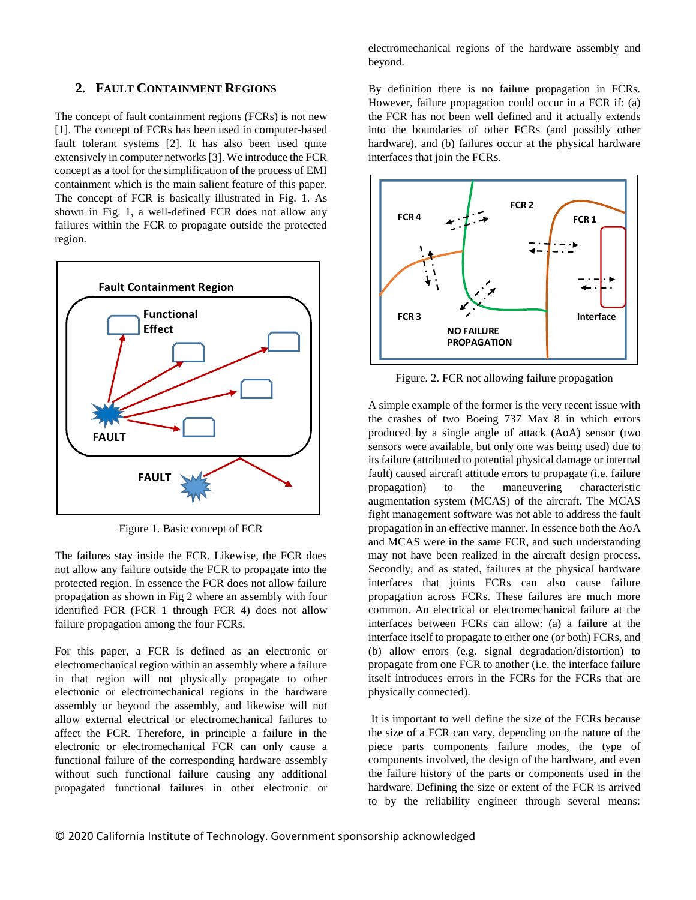# **2. FAULT CONTAINMENT REGIONS**

The concept of fault containment regions (FCRs) is not new [1]. The concept of FCRs has been used in computer-based fault tolerant systems [2]. It has also been used quite extensively in computer networks [3]. We introduce the FCR concept as a tool for the simplification of the process of EMI containment which is the main salient feature of this paper. The concept of FCR is basically illustrated in Fig. 1. As shown in Fig. 1, a well-defined FCR does not allow any failures within the FCR to propagate outside the protected region.



Figure 1. Basic concept of FCR

The failures stay inside the FCR. Likewise, the FCR does not allow any failure outside the FCR to propagate into the protected region. In essence the FCR does not allow failure propagation as shown in Fig 2 where an assembly with four identified FCR (FCR 1 through FCR 4) does not allow failure propagation among the four FCRs.

For this paper, a FCR is defined as an electronic or electromechanical region within an assembly where a failure in that region will not physically propagate to other electronic or electromechanical regions in the hardware assembly or beyond the assembly, and likewise will not allow external electrical or electromechanical failures to affect the FCR. Therefore, in principle a failure in the electronic or electromechanical FCR can only cause a functional failure of the corresponding hardware assembly without such functional failure causing any additional propagated functional failures in other electronic or electromechanical regions of the hardware assembly and beyond.

By definition there is no failure propagation in FCRs. However, failure propagation could occur in a FCR if: (a) the FCR has not been well defined and it actually extends into the boundaries of other FCRs (and possibly other hardware), and (b) failures occur at the physical hardware interfaces that join the FCRs.



Figure. 2. FCR not allowing failure propagation

A simple example of the former is the very recent issue with the crashes of two Boeing 737 Max 8 in which errors produced by a single angle of attack (AoA) sensor (two sensors were available, but only one was being used) due to its failure (attributed to potential physical damage or internal fault) caused aircraft attitude errors to propagate (i.e. failure propagation) to the maneuvering characteristic augmentation system (MCAS) of the aircraft. The MCAS fight management software was not able to address the fault propagation in an effective manner. In essence both the AoA and MCAS were in the same FCR, and such understanding may not have been realized in the aircraft design process. Secondly, and as stated, failures at the physical hardware interfaces that joints FCRs can also cause failure propagation across FCRs. These failures are much more common. An electrical or electromechanical failure at the interfaces between FCRs can allow: (a) a failure at the interface itself to propagate to either one (or both) FCRs, and (b) allow errors (e.g. signal degradation/distortion) to propagate from one FCR to another (i.e. the interface failure itself introduces errors in the FCRs for the FCRs that are physically connected).

It is important to well define the size of the FCRs because the size of a FCR can vary, depending on the nature of the piece parts components failure modes, the type of components involved, the design of the hardware, and even the failure history of the parts or components used in the hardware. Defining the size or extent of the FCR is arrived to by the reliability engineer through several means: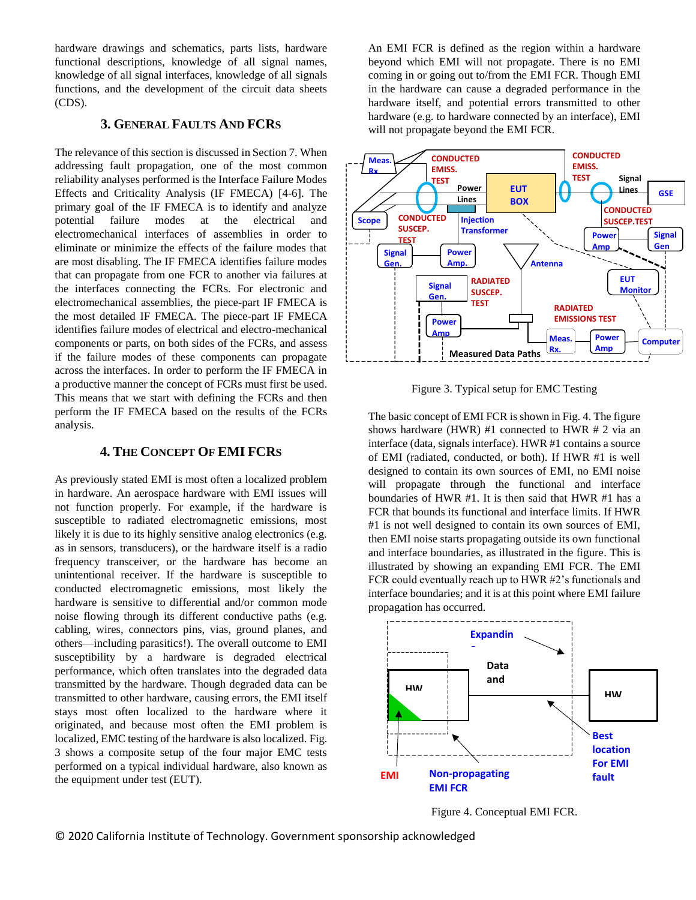hardware drawings and schematics, parts lists, hardware functional descriptions, knowledge of all signal names, knowledge of all signal interfaces, knowledge of all signals functions, and the development of the circuit data sheets (CDS).

# **3. GENERAL FAULTS AND FCRS**

The relevance of this section is discussed in Section 7. When addressing fault propagation, one of the most common reliability analyses performed is the Interface Failure Modes Effects and Criticality Analysis (IF FMECA) [4-6]. The primary goal of the IF FMECA is to identify and analyze potential failure modes at the electrical and electromechanical interfaces of assemblies in order to eliminate or minimize the effects of the failure modes that are most disabling. The IF FMECA identifies failure modes that can propagate from one FCR to another via failures at the interfaces connecting the FCRs. For electronic and electromechanical assemblies, the piece-part IF FMECA is the most detailed IF FMECA. The piece-part IF FMECA identifies failure modes of electrical and electro-mechanical components or parts, on both sides of the FCRs, and assess if the failure modes of these components can propagate across the interfaces. In order to perform the IF FMECA in a productive manner the concept of FCRs must first be used. This means that we start with defining the FCRs and then perform the IF FMECA based on the results of the FCRs analysis.

### **4. THE CONCEPT OF EMI FCRS**

As previously stated EMI is most often a localized problem in hardware. An aerospace hardware with EMI issues will not function properly. For example, if the hardware is susceptible to radiated electromagnetic emissions, most likely it is due to its highly sensitive analog electronics (e.g. as in sensors, transducers), or the hardware itself is a radio frequency transceiver, or the hardware has become an unintentional receiver. If the hardware is susceptible to conducted electromagnetic emissions, most likely the hardware is sensitive to differential and/or common mode noise flowing through its different conductive paths (e.g. cabling, wires, connectors pins, vias, ground planes, and others—including parasitics!). The overall outcome to EMI susceptibility by a hardware is degraded electrical performance, which often translates into the degraded data transmitted by the hardware. Though degraded data can be transmitted to other hardware, causing errors, the EMI itself stays most often localized to the hardware where it originated, and because most often the EMI problem is localized, EMC testing of the hardware is also localized. Fig. 3 shows a composite setup of the four major EMC tests performed on a typical individual hardware, also known as the equipment under test (EUT).

An EMI FCR is defined as the region within a hardware beyond which EMI will not propagate. There is no EMI coming in or going out to/from the EMI FCR. Though EMI in the hardware can cause a degraded performance in the hardware itself, and potential errors transmitted to other hardware (e.g. to hardware connected by an interface), EMI will not propagate beyond the EMI FCR.



Figure 3. Typical setup for EMC Testing

The basic concept of EMI FCR is shown in Fig. 4. The figure shows hardware (HWR) #1 connected to HWR # 2 via an interface (data, signals interface). HWR #1 contains a source of EMI (radiated, conducted, or both). If HWR #1 is well designed to contain its own sources of EMI, no EMI noise will propagate through the functional and interface boundaries of HWR #1. It is then said that HWR #1 has a FCR that bounds its functional and interface limits. If HWR #1 is not well designed to contain its own sources of EMI, then EMI noise starts propagating outside its own functional and interface boundaries, as illustrated in the figure. This is illustrated by showing an expanding EMI FCR. The EMI FCR could eventually reach up to HWR #2's functionals and interface boundaries; and it is at this point where EMI failure propagation has occurred.



Figure 4. Conceptual EMI FCR.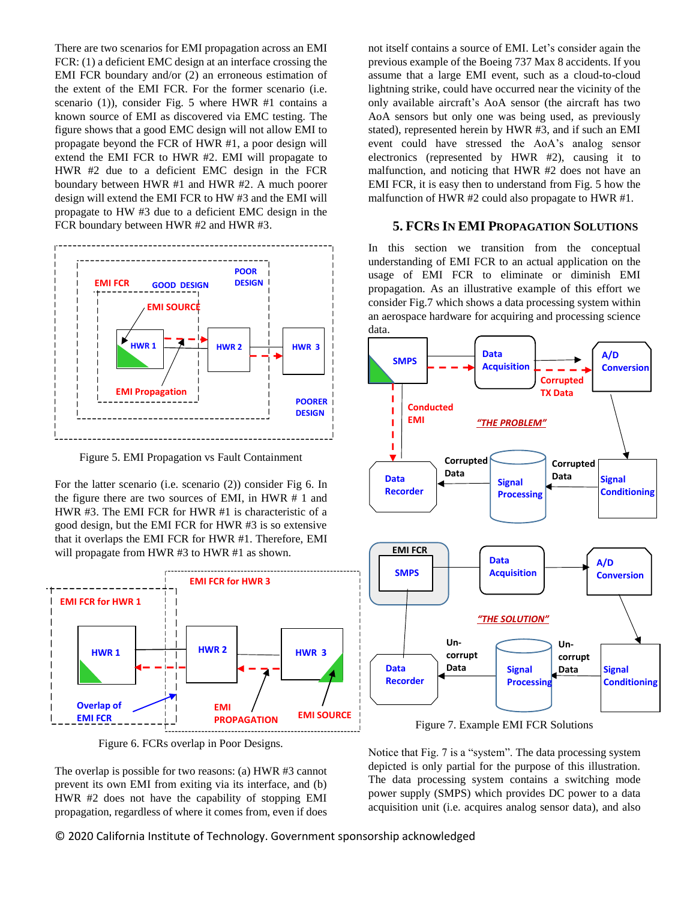There are two scenarios for EMI propagation across an EMI FCR: (1) a deficient EMC design at an interface crossing the EMI FCR boundary and/or (2) an erroneous estimation of the extent of the EMI FCR. For the former scenario (i.e. scenario (1)), consider Fig. 5 where HWR #1 contains a known source of EMI as discovered via EMC testing. The figure shows that a good EMC design will not allow EMI to propagate beyond the FCR of HWR #1, a poor design will extend the EMI FCR to HWR #2. EMI will propagate to HWR #2 due to a deficient EMC design in the FCR boundary between HWR #1 and HWR #2. A much poorer design will extend the EMI FCR to HW #3 and the EMI will propagate to HW #3 due to a deficient EMC design in the FCR boundary between HWR #2 and HWR #3.



Figure 5. EMI Propagation vs Fault Containment

For the latter scenario (i.e. scenario (2)) consider Fig 6. In the figure there are two sources of EMI, in HWR # 1 and HWR #3. The EMI FCR for HWR #1 is characteristic of a good design, but the EMI FCR for HWR #3 is so extensive that it overlaps the EMI FCR for HWR #1. Therefore, EMI will propagate from HWR #3 to HWR #1 as shown.



Figure 6. FCRs overlap in Poor Designs.

The overlap is possible for two reasons: (a) HWR #3 cannot prevent its own EMI from exiting via its interface, and (b) HWR #2 does not have the capability of stopping EMI propagation, regardless of where it comes from, even if does not itself contains a source of EMI. Let's consider again the previous example of the Boeing 737 Max 8 accidents. If you assume that a large EMI event, such as a cloud-to-cloud lightning strike, could have occurred near the vicinity of the only available aircraft's AoA sensor (the aircraft has two AoA sensors but only one was being used, as previously stated), represented herein by HWR #3, and if such an EMI event could have stressed the AoA's analog sensor electronics (represented by HWR #2), causing it to malfunction, and noticing that HWR #2 does not have an EMI FCR, it is easy then to understand from Fig. 5 how the malfunction of HWR #2 could also propagate to HWR #1.

#### **5. FCRS IN EMI PROPAGATION SOLUTIONS**

In this section we transition from the conceptual understanding of EMI FCR to an actual application on the usage of EMI FCR to eliminate or diminish EMI propagation. As an illustrative example of this effort we consider Fig.7 which shows a data processing system within an aerospace hardware for acquiring and processing science data.



Figure 7. Example EMI FCR Solutions

Notice that Fig. 7 is a "system". The data processing system depicted is only partial for the purpose of this illustration. The data processing system contains a switching mode power supply (SMPS) which provides DC power to a data acquisition unit (i.e. acquires analog sensor data), and also

© 2020 California Institute of Technology. Government sponsorship acknowledged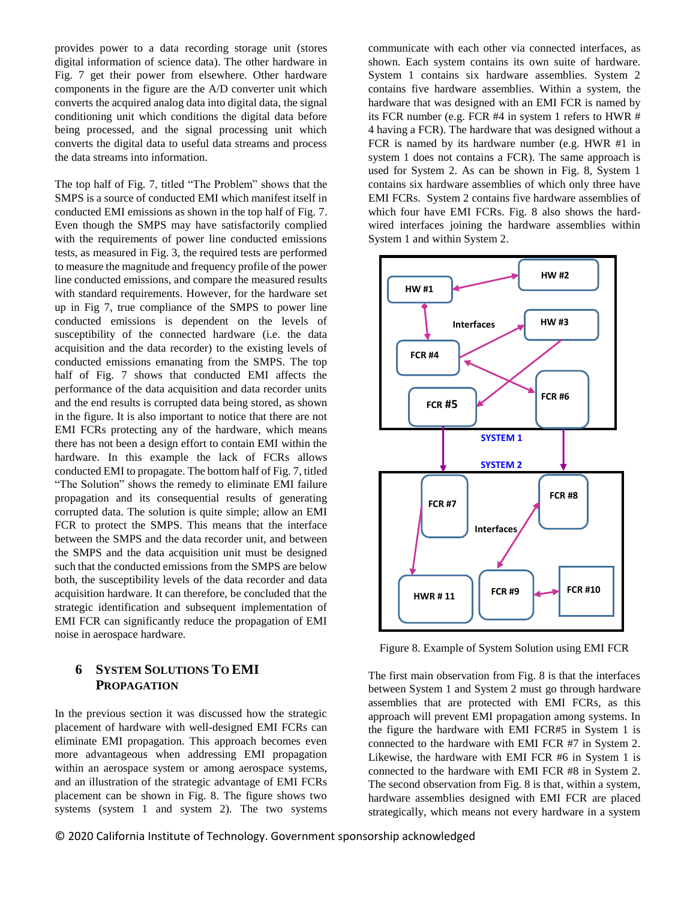provides power to a data recording storage unit (stores digital information of science data). The other hardware in Fig. 7 get their power from elsewhere. Other hardware components in the figure are the A/D converter unit which converts the acquired analog data into digital data, the signal conditioning unit which conditions the digital data before being processed, and the signal processing unit which converts the digital data to useful data streams and process the data streams into information.

The top half of Fig. 7, titled "The Problem" shows that the SMPS is a source of conducted EMI which manifest itself in conducted EMI emissions as shown in the top half of Fig. 7. Even though the SMPS may have satisfactorily complied with the requirements of power line conducted emissions tests, as measured in Fig. 3, the required tests are performed to measure the magnitude and frequency profile of the power line conducted emissions, and compare the measured results with standard requirements. However, for the hardware set up in Fig 7, true compliance of the SMPS to power line conducted emissions is dependent on the levels of susceptibility of the connected hardware (i.e. the data acquisition and the data recorder) to the existing levels of conducted emissions emanating from the SMPS. The top half of Fig. 7 shows that conducted EMI affects the performance of the data acquisition and data recorder units and the end results is corrupted data being stored, as shown in the figure. It is also important to notice that there are not EMI FCRs protecting any of the hardware, which means there has not been a design effort to contain EMI within the hardware. In this example the lack of FCRs allows conducted EMI to propagate. The bottom half of Fig. 7, titled "The Solution" shows the remedy to eliminate EMI failure propagation and its consequential results of generating corrupted data. The solution is quite simple; allow an EMI FCR to protect the SMPS. This means that the interface between the SMPS and the data recorder unit, and between the SMPS and the data acquisition unit must be designed such that the conducted emissions from the SMPS are below both, the susceptibility levels of the data recorder and data acquisition hardware. It can therefore, be concluded that the strategic identification and subsequent implementation of EMI FCR can significantly reduce the propagation of EMI noise in aerospace hardware.

# **6 SYSTEM SOLUTIONS TO EMI PROPAGATION**

In the previous section it was discussed how the strategic placement of hardware with well-designed EMI FCRs can eliminate EMI propagation. This approach becomes even more advantageous when addressing EMI propagation within an aerospace system or among aerospace systems, and an illustration of the strategic advantage of EMI FCRs placement can be shown in Fig. 8. The figure shows two systems (system 1 and system 2). The two systems communicate with each other via connected interfaces, as shown. Each system contains its own suite of hardware. System 1 contains six hardware assemblies. System 2 contains five hardware assemblies. Within a system, the hardware that was designed with an EMI FCR is named by its FCR number (e.g. FCR #4 in system 1 refers to HWR # 4 having a FCR). The hardware that was designed without a FCR is named by its hardware number (e.g. HWR #1 in system 1 does not contains a FCR). The same approach is used for System 2. As can be shown in Fig. 8, System 1 contains six hardware assemblies of which only three have EMI FCRs. System 2 contains five hardware assemblies of which four have EMI FCRs. Fig. 8 also shows the hardwired interfaces joining the hardware assemblies within System 1 and within System 2.



Figure 8. Example of System Solution using EMI FCR

The first main observation from Fig. 8 is that the interfaces between System 1 and System 2 must go through hardware assemblies that are protected with EMI FCRs, as this approach will prevent EMI propagation among systems. In the figure the hardware with EMI FCR#5 in System 1 is connected to the hardware with EMI FCR #7 in System 2. Likewise, the hardware with EMI FCR #6 in System 1 is connected to the hardware with EMI FCR #8 in System 2. The second observation from Fig. 8 is that, within a system, hardware assemblies designed with EMI FCR are placed strategically, which means not every hardware in a system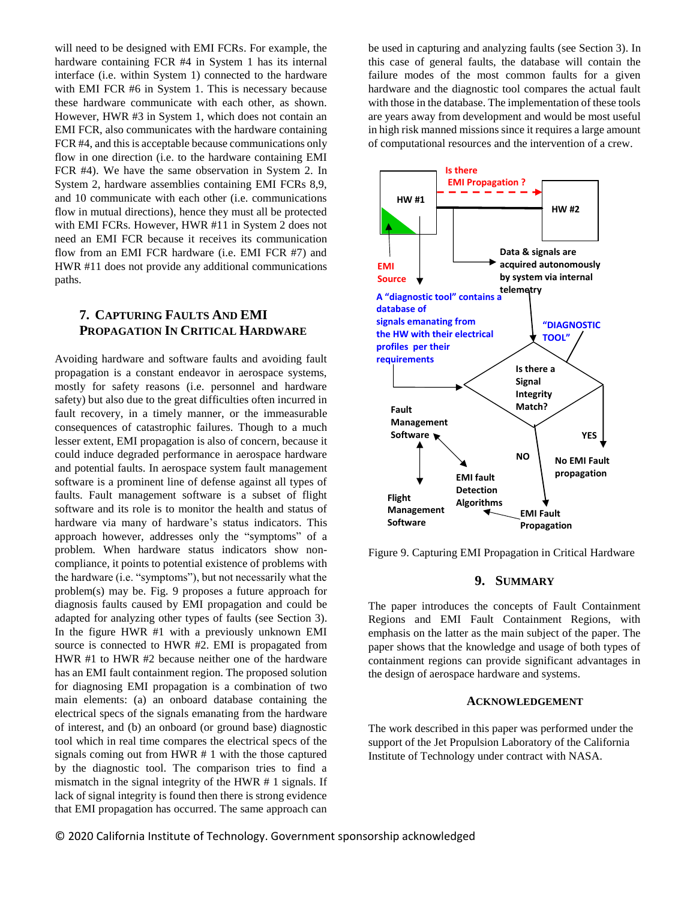will need to be designed with EMI FCRs. For example, the hardware containing FCR #4 in System 1 has its internal interface (i.e. within System 1) connected to the hardware with EMI FCR #6 in System 1. This is necessary because these hardware communicate with each other, as shown. However, HWR #3 in System 1, which does not contain an EMI FCR, also communicates with the hardware containing FCR #4, and this is acceptable because communications only flow in one direction (i.e. to the hardware containing EMI FCR #4). We have the same observation in System 2. In System 2, hardware assemblies containing EMI FCRs 8,9, and 10 communicate with each other (i.e. communications flow in mutual directions), hence they must all be protected with EMI FCRs. However, HWR #11 in System 2 does not need an EMI FCR because it receives its communication flow from an EMI FCR hardware (i.e. EMI FCR #7) and HWR #11 does not provide any additional communications paths.

# **7. CAPTURING FAULTS AND EMI PROPAGATION IN CRITICAL HARDWARE**

Avoiding hardware and software faults and avoiding fault propagation is a constant endeavor in aerospace systems, mostly for safety reasons (i.e. personnel and hardware safety) but also due to the great difficulties often incurred in fault recovery, in a timely manner, or the immeasurable consequences of catastrophic failures. Though to a much lesser extent, EMI propagation is also of concern, because it could induce degraded performance in aerospace hardware and potential faults. In aerospace system fault management software is a prominent line of defense against all types of faults. Fault management software is a subset of flight software and its role is to monitor the health and status of hardware via many of hardware's status indicators. This approach however, addresses only the "symptoms" of a problem. When hardware status indicators show noncompliance, it points to potential existence of problems with the hardware (i.e. "symptoms"), but not necessarily what the problem(s) may be. Fig. 9 proposes a future approach for diagnosis faults caused by EMI propagation and could be adapted for analyzing other types of faults (see Section 3). In the figure HWR #1 with a previously unknown EMI source is connected to HWR #2. EMI is propagated from HWR #1 to HWR #2 because neither one of the hardware has an EMI fault containment region. The proposed solution for diagnosing EMI propagation is a combination of two main elements: (a) an onboard database containing the electrical specs of the signals emanating from the hardware of interest, and (b) an onboard (or ground base) diagnostic tool which in real time compares the electrical specs of the signals coming out from HWR # 1 with the those captured by the diagnostic tool. The comparison tries to find a mismatch in the signal integrity of the HWR # 1 signals. If lack of signal integrity is found then there is strong evidence that EMI propagation has occurred. The same approach can

be used in capturing and analyzing faults (see Section 3). In this case of general faults, the database will contain the failure modes of the most common faults for a given hardware and the diagnostic tool compares the actual fault with those in the database. The implementation of these tools are years away from development and would be most useful in high risk manned missions since it requires a large amount of computational resources and the intervention of a crew.



Figure 9. Capturing EMI Propagation in Critical Hardware

## **9. SUMMARY**

The paper introduces the concepts of Fault Containment Regions and EMI Fault Containment Regions, with emphasis on the latter as the main subject of the paper. The paper shows that the knowledge and usage of both types of containment regions can provide significant advantages in the design of aerospace hardware and systems.

#### **ACKNOWLEDGEMENT**

The work described in this paper was performed under the support of the Jet Propulsion Laboratory of the California Institute of Technology under contract with NASA.